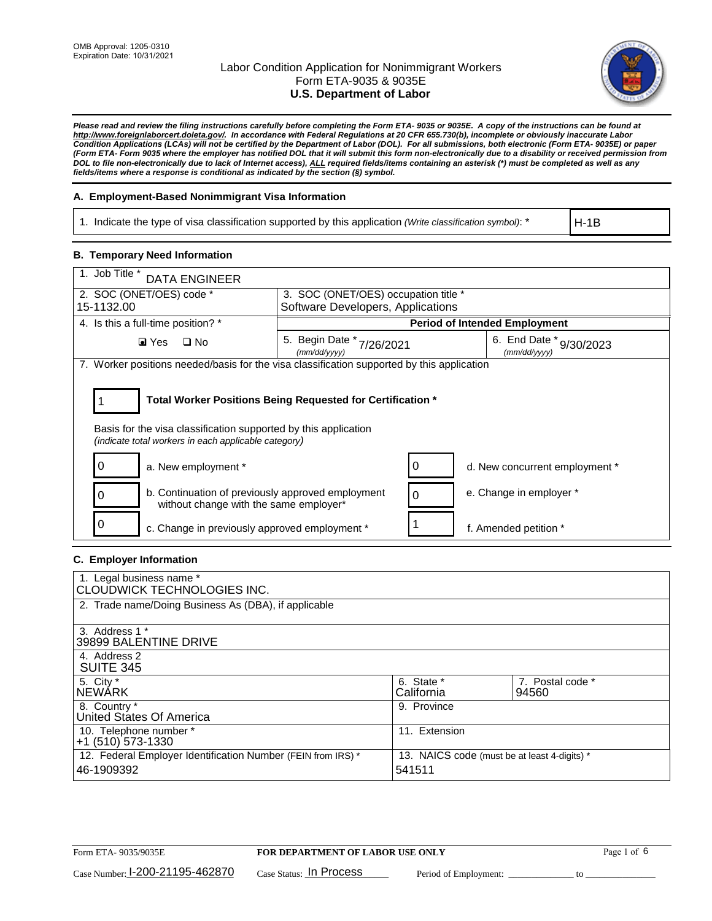

*Please read and review the filing instructions carefully before completing the Form ETA- 9035 or 9035E. A copy of the instructions can be found at [http://www.foreignlaborcert.doleta.gov/.](http://www.foreignlaborcert.doleta.gov/) In accordance with Federal Regulations at 20 CFR 655.730(b), incomplete or obviously inaccurate Labor Condition Applications (LCAs) will not be certified by the Department of Labor (DOL). For all submissions, both electronic (Form ETA- 9035E) or paper (Form ETA- Form 9035 where the employer has notified DOL that it will submit this form non-electronically due to a disability or received permission from DOL to file non-electronically due to lack of Internet access), ALL required fields/items containing an asterisk (\*) must be completed as well as any fields/items where a response is conditional as indicated by the section (§) symbol.* 

### **A. Employment-Based Nonimmigrant Visa Information**

1. Indicate the type of visa classification supported by this application *(Write classification symbol)*: \*

H-1B

### **B. Temporary Need Information**

| 1. Job Title *<br><b>DATA ENGINEER</b>                                                                                                                                                |                                              |                                      |                                            |  |  |
|---------------------------------------------------------------------------------------------------------------------------------------------------------------------------------------|----------------------------------------------|--------------------------------------|--------------------------------------------|--|--|
| 2. SOC (ONET/OES) code *<br>3. SOC (ONET/OES) occupation title *                                                                                                                      |                                              |                                      |                                            |  |  |
| 15-1132.00                                                                                                                                                                            | Software Developers, Applications            |                                      |                                            |  |  |
| 4. Is this a full-time position? *                                                                                                                                                    |                                              | <b>Period of Intended Employment</b> |                                            |  |  |
| $\square$ No<br>$\blacksquare$ Yes                                                                                                                                                    | 5. Begin Date *<br>7/26/2021<br>(mm/dd/yyyy) |                                      | 6. End Date *<br>9/30/2023<br>(mm/dd/yyyy) |  |  |
| 7. Worker positions needed/basis for the visa classification supported by this application                                                                                            |                                              |                                      |                                            |  |  |
| Total Worker Positions Being Requested for Certification *<br>Basis for the visa classification supported by this application<br>(indicate total workers in each applicable category) |                                              |                                      |                                            |  |  |
| a. New employment *<br>O                                                                                                                                                              |                                              | 0                                    | d. New concurrent employment *             |  |  |
| b. Continuation of previously approved employment<br>0<br>without change with the same employer*                                                                                      |                                              | 0                                    | e. Change in employer *                    |  |  |
| c. Change in previously approved employment *                                                                                                                                         |                                              |                                      | f. Amended petition *                      |  |  |

### **C. Employer Information**

| 1. Legal business name *                                     |                                              |                  |  |  |
|--------------------------------------------------------------|----------------------------------------------|------------------|--|--|
| CLOUDWICK TECHNOLOGIES INC.                                  |                                              |                  |  |  |
| 2. Trade name/Doing Business As (DBA), if applicable         |                                              |                  |  |  |
|                                                              |                                              |                  |  |  |
| 3. Address 1 *                                               |                                              |                  |  |  |
| 39899 BALENTINE DRIVE                                        |                                              |                  |  |  |
| 4. Address 2                                                 |                                              |                  |  |  |
| <b>SUITE 345</b>                                             |                                              |                  |  |  |
| 5. City *                                                    | 6. State *                                   | 7. Postal code * |  |  |
| <b>NEWARK</b>                                                | California                                   | 94560            |  |  |
| 8. Country *                                                 | 9. Province                                  |                  |  |  |
| United States Of America                                     |                                              |                  |  |  |
| 10. Telephone number *                                       | 11. Extension                                |                  |  |  |
| $+1$ (510) 573-1330                                          |                                              |                  |  |  |
| 12. Federal Employer Identification Number (FEIN from IRS) * | 13. NAICS code (must be at least 4-digits) * |                  |  |  |
| 46-1909392                                                   | 541511                                       |                  |  |  |
|                                                              |                                              |                  |  |  |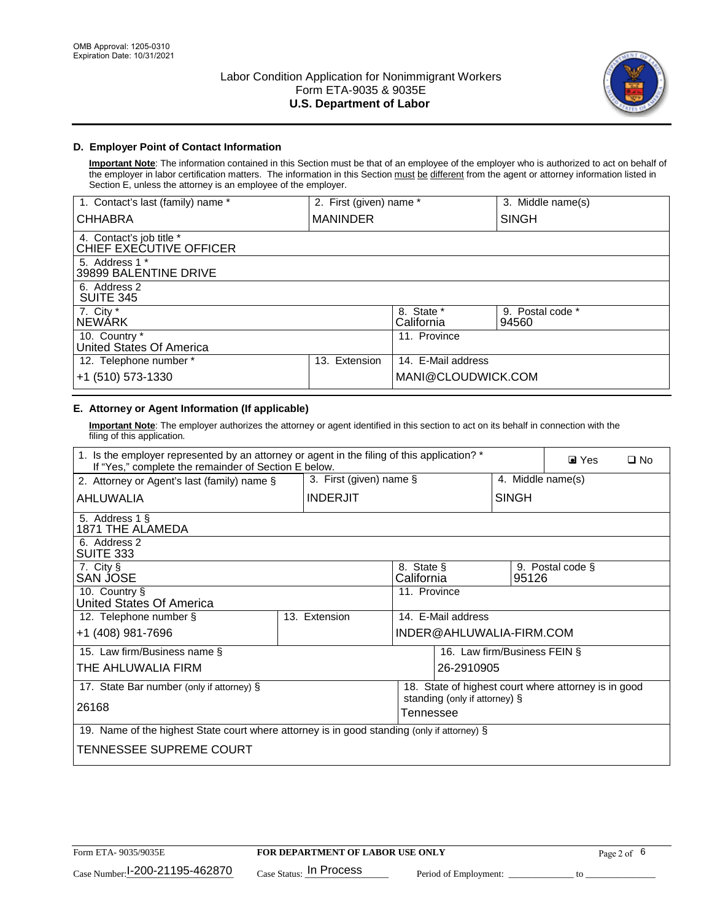

## **D. Employer Point of Contact Information**

**Important Note**: The information contained in this Section must be that of an employee of the employer who is authorized to act on behalf of the employer in labor certification matters. The information in this Section must be different from the agent or attorney information listed in Section E, unless the attorney is an employee of the employer.

| 1. Contact's last (family) name *                   | 2. First (given) name * |                          | 3. Middle name(s)         |
|-----------------------------------------------------|-------------------------|--------------------------|---------------------------|
| <b>CHHABRA</b>                                      | <b>MANINDER</b>         |                          | <b>SINGH</b>              |
| 4. Contact's job title *<br>CHIEF EXECUTIVE OFFICER |                         |                          |                           |
| 5. Address 1 *<br>39899 BALENTINE DRIVE             |                         |                          |                           |
| 6. Address 2<br><b>SUITE 345</b>                    |                         |                          |                           |
| 7. City *<br><b>NEWÁRK</b>                          |                         | 8. State *<br>California | 9. Postal code *<br>94560 |
| 10. Country *<br>United States Of America           |                         | 11. Province             |                           |
| 12. Telephone number *                              | Extension<br>13.        | 14. E-Mail address       |                           |
| +1 (510) 573-1330                                   |                         | MANI@CLOUDWICK.COM       |                           |

## **E. Attorney or Agent Information (If applicable)**

**Important Note**: The employer authorizes the attorney or agent identified in this section to act on its behalf in connection with the filing of this application.

| 1. Is the employer represented by an attorney or agent in the filing of this application? *<br>If "Yes," complete the remainder of Section E below. |  |                 |                                            |                          | $\blacksquare$ Yes<br>$\square$ No |                                                      |
|-----------------------------------------------------------------------------------------------------------------------------------------------------|--|-----------------|--------------------------------------------|--------------------------|------------------------------------|------------------------------------------------------|
| 3. First (given) name $\S$<br>2. Attorney or Agent's last (family) name §                                                                           |  |                 |                                            | 4. Middle name(s)        |                                    |                                                      |
| AHLUWALIA                                                                                                                                           |  | <b>INDERJIT</b> |                                            |                          | <b>SINGH</b>                       |                                                      |
| 5. Address 1 §<br>1871 THE ALAMEDA                                                                                                                  |  |                 |                                            |                          |                                    |                                                      |
| 6. Address 2<br>SUITE 333                                                                                                                           |  |                 |                                            |                          |                                    |                                                      |
| 7. City §<br>SAN JOSE                                                                                                                               |  |                 | 8. State §<br>California                   |                          | 95126                              | 9. Postal code §                                     |
| 10. Country §<br>United States Of America                                                                                                           |  |                 | 11. Province                               |                          |                                    |                                                      |
| 12. Telephone number §                                                                                                                              |  | 13. Extension   |                                            | 14. E-Mail address       |                                    |                                                      |
| +1 (408) 981-7696                                                                                                                                   |  |                 |                                            | INDER@AHLUWALIA-FIRM.COM |                                    |                                                      |
| 15. Law firm/Business name §                                                                                                                        |  |                 |                                            |                          | 16. Law firm/Business FEIN §       |                                                      |
| THE AHLUWALIA FIRM                                                                                                                                  |  |                 |                                            | 26-2910905               |                                    |                                                      |
| 17. State Bar number (only if attorney) §                                                                                                           |  |                 |                                            |                          |                                    | 18. State of highest court where attorney is in good |
| 26168                                                                                                                                               |  |                 | standing (only if attorney) §<br>Tennessee |                          |                                    |                                                      |
| 19. Name of the highest State court where attorney is in good standing (only if attorney) §                                                         |  |                 |                                            |                          |                                    |                                                      |
| TENNESSEE SUPREME COURT                                                                                                                             |  |                 |                                            |                          |                                    |                                                      |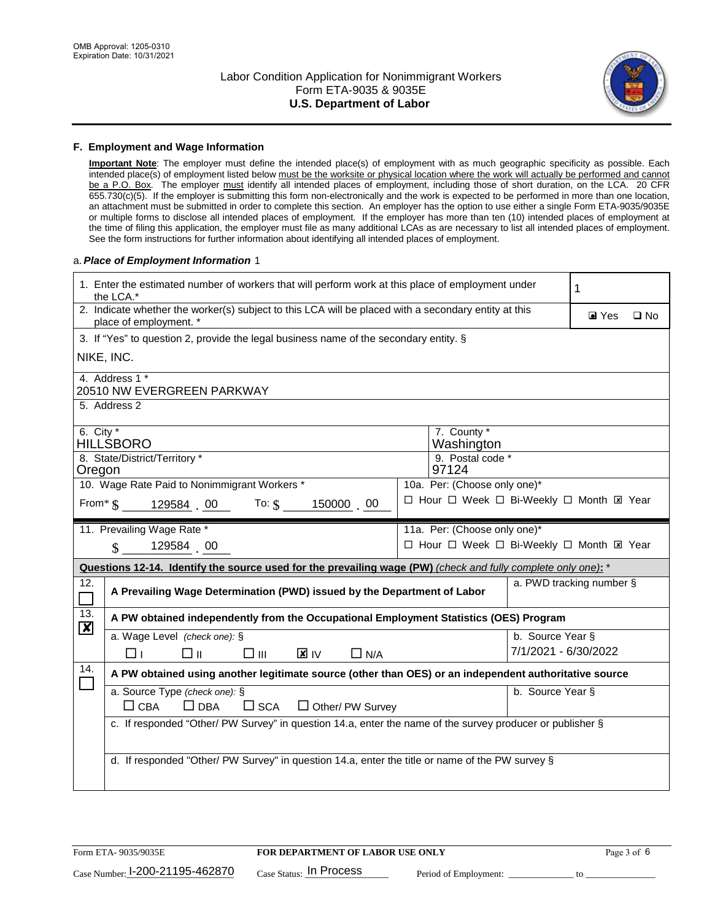

#### **F. Employment and Wage Information**

**Important Note**: The employer must define the intended place(s) of employment with as much geographic specificity as possible. Each intended place(s) of employment listed below must be the worksite or physical location where the work will actually be performed and cannot be a P.O. Box. The employer must identify all intended places of employment, including those of short duration, on the LCA. 20 CFR 655.730(c)(5). If the employer is submitting this form non-electronically and the work is expected to be performed in more than one location, an attachment must be submitted in order to complete this section. An employer has the option to use either a single Form ETA-9035/9035E or multiple forms to disclose all intended places of employment. If the employer has more than ten (10) intended places of employment at the time of filing this application, the employer must file as many additional LCAs as are necessary to list all intended places of employment. See the form instructions for further information about identifying all intended places of employment.

#### a.*Place of Employment Information* 1

| 1. Enter the estimated number of workers that will perform work at this place of employment under<br>the LCA.*                 | 1                                                                                                                                                     |  |                              |                      |                                           |  |  |
|--------------------------------------------------------------------------------------------------------------------------------|-------------------------------------------------------------------------------------------------------------------------------------------------------|--|------------------------------|----------------------|-------------------------------------------|--|--|
| 2. Indicate whether the worker(s) subject to this LCA will be placed with a secondary entity at this<br>place of employment. * |                                                                                                                                                       |  |                              |                      | $\blacksquare$ Yes<br>$\square$ No        |  |  |
|                                                                                                                                | 3. If "Yes" to question 2, provide the legal business name of the secondary entity. §                                                                 |  |                              |                      |                                           |  |  |
|                                                                                                                                | NIKE, INC.                                                                                                                                            |  |                              |                      |                                           |  |  |
|                                                                                                                                | 4. Address 1 *<br>20510 NW EVERGREEN PARKWAY                                                                                                          |  |                              |                      |                                           |  |  |
|                                                                                                                                | 5. Address 2                                                                                                                                          |  |                              |                      |                                           |  |  |
| 6. City $*$                                                                                                                    | <b>HILLSBORO</b>                                                                                                                                      |  | 7. County *<br>Washington    |                      |                                           |  |  |
| Oregon                                                                                                                         | 8. State/District/Territory *                                                                                                                         |  | 9. Postal code *<br>97124    |                      |                                           |  |  |
|                                                                                                                                | 10. Wage Rate Paid to Nonimmigrant Workers *                                                                                                          |  | 10a. Per: (Choose only one)* |                      |                                           |  |  |
|                                                                                                                                | From* \$129584 00 To: \$<br>150000 00                                                                                                                 |  |                              |                      | □ Hour □ Week □ Bi-Weekly □ Month ⊠ Year  |  |  |
|                                                                                                                                | 11. Prevailing Wage Rate *                                                                                                                            |  | 11a. Per: (Choose only one)* |                      |                                           |  |  |
|                                                                                                                                | 129584 00<br>$\mathbf{\$}$                                                                                                                            |  |                              |                      | □ Hour □ Week □ Bi-Weekly □ Month El Year |  |  |
| Questions 12-14. Identify the source used for the prevailing wage (PW) (check and fully complete only one): *                  |                                                                                                                                                       |  |                              |                      |                                           |  |  |
|                                                                                                                                | a. PWD tracking number §<br>A Prevailing Wage Determination (PWD) issued by the Department of Labor                                                   |  |                              |                      |                                           |  |  |
| 12.<br>$\Box$                                                                                                                  |                                                                                                                                                       |  |                              |                      |                                           |  |  |
| 13.                                                                                                                            | A PW obtained independently from the Occupational Employment Statistics (OES) Program                                                                 |  |                              |                      |                                           |  |  |
| $\boldsymbol{\mathsf{X}}$                                                                                                      | a. Wage Level (check one): §                                                                                                                          |  |                              | b. Source Year §     |                                           |  |  |
|                                                                                                                                | <b>X</b> IV<br>□⊪<br>$\square$ $\square$<br>$\Box$ N/A<br>□⊥                                                                                          |  |                              | 7/1/2021 - 6/30/2022 |                                           |  |  |
| 14.                                                                                                                            | A PW obtained using another legitimate source (other than OES) or an independent authoritative source                                                 |  |                              |                      |                                           |  |  |
|                                                                                                                                | a. Source Type (check one): §<br>$\Box$ CBA<br>$\Box$ DBA                                                                                             |  |                              | b. Source Year §     |                                           |  |  |
|                                                                                                                                | $\square$ SCA<br>$\Box$ Other/ PW Survey<br>c. If responded "Other/ PW Survey" in question 14.a, enter the name of the survey producer or publisher § |  |                              |                      |                                           |  |  |
|                                                                                                                                |                                                                                                                                                       |  |                              |                      |                                           |  |  |
|                                                                                                                                | d. If responded "Other/ PW Survey" in question 14.a, enter the title or name of the PW survey §                                                       |  |                              |                      |                                           |  |  |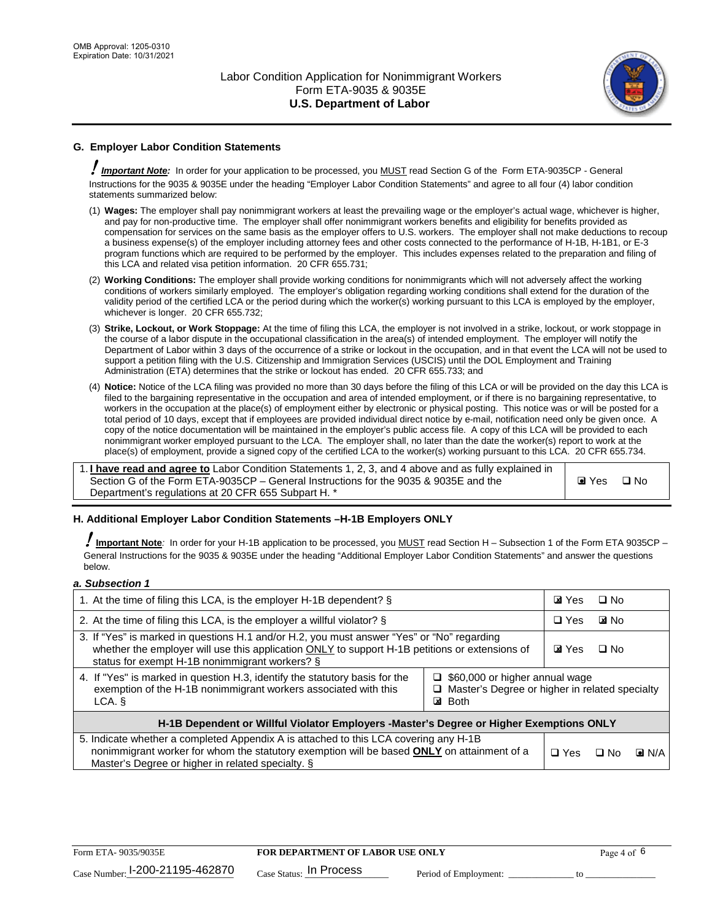

## **G. Employer Labor Condition Statements**

! *Important Note:* In order for your application to be processed, you MUST read Section G of the Form ETA-9035CP - General Instructions for the 9035 & 9035E under the heading "Employer Labor Condition Statements" and agree to all four (4) labor condition statements summarized below:

- (1) **Wages:** The employer shall pay nonimmigrant workers at least the prevailing wage or the employer's actual wage, whichever is higher, and pay for non-productive time. The employer shall offer nonimmigrant workers benefits and eligibility for benefits provided as compensation for services on the same basis as the employer offers to U.S. workers. The employer shall not make deductions to recoup a business expense(s) of the employer including attorney fees and other costs connected to the performance of H-1B, H-1B1, or E-3 program functions which are required to be performed by the employer. This includes expenses related to the preparation and filing of this LCA and related visa petition information. 20 CFR 655.731;
- (2) **Working Conditions:** The employer shall provide working conditions for nonimmigrants which will not adversely affect the working conditions of workers similarly employed. The employer's obligation regarding working conditions shall extend for the duration of the validity period of the certified LCA or the period during which the worker(s) working pursuant to this LCA is employed by the employer, whichever is longer. 20 CFR 655.732;
- (3) **Strike, Lockout, or Work Stoppage:** At the time of filing this LCA, the employer is not involved in a strike, lockout, or work stoppage in the course of a labor dispute in the occupational classification in the area(s) of intended employment. The employer will notify the Department of Labor within 3 days of the occurrence of a strike or lockout in the occupation, and in that event the LCA will not be used to support a petition filing with the U.S. Citizenship and Immigration Services (USCIS) until the DOL Employment and Training Administration (ETA) determines that the strike or lockout has ended. 20 CFR 655.733; and
- (4) **Notice:** Notice of the LCA filing was provided no more than 30 days before the filing of this LCA or will be provided on the day this LCA is filed to the bargaining representative in the occupation and area of intended employment, or if there is no bargaining representative, to workers in the occupation at the place(s) of employment either by electronic or physical posting. This notice was or will be posted for a total period of 10 days, except that if employees are provided individual direct notice by e-mail, notification need only be given once. A copy of the notice documentation will be maintained in the employer's public access file. A copy of this LCA will be provided to each nonimmigrant worker employed pursuant to the LCA. The employer shall, no later than the date the worker(s) report to work at the place(s) of employment, provide a signed copy of the certified LCA to the worker(s) working pursuant to this LCA. 20 CFR 655.734.

1. **I have read and agree to** Labor Condition Statements 1, 2, 3, and 4 above and as fully explained in Section G of the Form ETA-9035CP – General Instructions for the 9035 & 9035E and the Department's regulations at 20 CFR 655 Subpart H. \*

**O** Yes **D** No

### **H. Additional Employer Labor Condition Statements –H-1B Employers ONLY**

!**Important Note***:* In order for your H-1B application to be processed, you MUST read Section H – Subsection 1 of the Form ETA 9035CP – General Instructions for the 9035 & 9035E under the heading "Additional Employer Labor Condition Statements" and answer the questions below.

#### *a. Subsection 1*

| 1. At the time of filing this LCA, is the employer H-1B dependent? §                                                                                                                                                                                                   |  |  | $\square$ No |                    |
|------------------------------------------------------------------------------------------------------------------------------------------------------------------------------------------------------------------------------------------------------------------------|--|--|--------------|--------------------|
| 2. At the time of filing this LCA, is the employer a willful violator? $\S$                                                                                                                                                                                            |  |  | <b>E</b> INo |                    |
| 3. If "Yes" is marked in questions H.1 and/or H.2, you must answer "Yes" or "No" regarding<br>whether the employer will use this application ONLY to support H-1B petitions or extensions of<br>status for exempt H-1B nonimmigrant workers? §                         |  |  | $\Box$ No    |                    |
| 4. If "Yes" is marked in question H.3, identify the statutory basis for the<br>$\Box$ \$60,000 or higher annual wage<br>exemption of the H-1B nonimmigrant workers associated with this<br>□ Master's Degree or higher in related specialty<br><b>⊠</b> Both<br>LCA. § |  |  |              |                    |
| H-1B Dependent or Willful Violator Employers -Master's Degree or Higher Exemptions ONLY                                                                                                                                                                                |  |  |              |                    |
| 5. Indicate whether a completed Appendix A is attached to this LCA covering any H-1B<br>nonimmigrant worker for whom the statutory exemption will be based <b>ONLY</b> on attainment of a<br>Master's Degree or higher in related specialty. §                         |  |  | ⊡ No         | $\blacksquare$ N/A |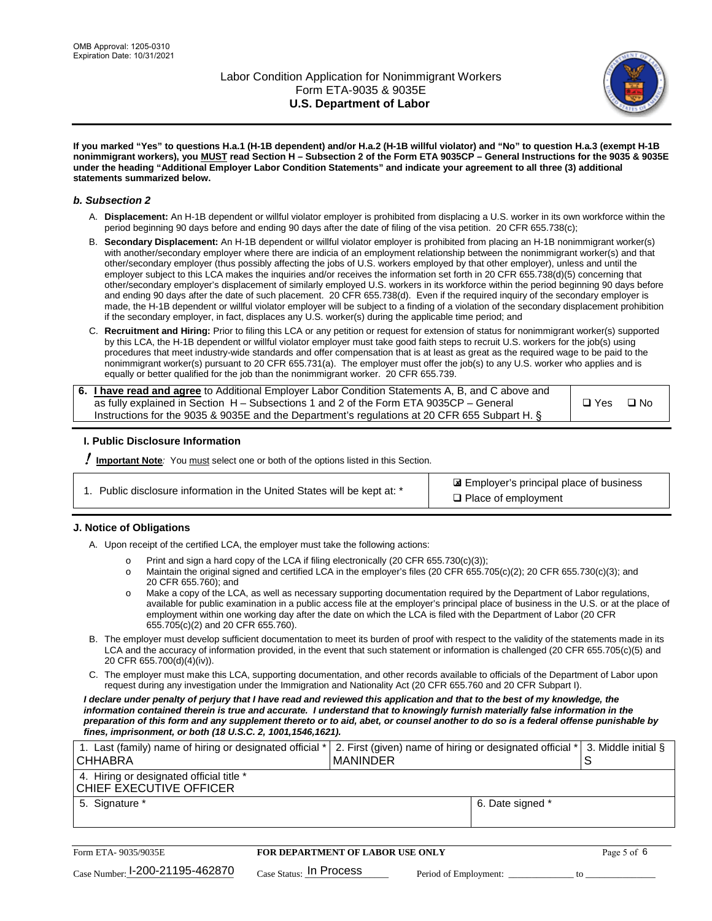

**If you marked "Yes" to questions H.a.1 (H-1B dependent) and/or H.a.2 (H-1B willful violator) and "No" to question H.a.3 (exempt H-1B nonimmigrant workers), you MUST read Section H – Subsection 2 of the Form ETA 9035CP – General Instructions for the 9035 & 9035E under the heading "Additional Employer Labor Condition Statements" and indicate your agreement to all three (3) additional statements summarized below.**

#### *b. Subsection 2*

- A. **Displacement:** An H-1B dependent or willful violator employer is prohibited from displacing a U.S. worker in its own workforce within the period beginning 90 days before and ending 90 days after the date of filing of the visa petition. 20 CFR 655.738(c);
- B. **Secondary Displacement:** An H-1B dependent or willful violator employer is prohibited from placing an H-1B nonimmigrant worker(s) with another/secondary employer where there are indicia of an employment relationship between the nonimmigrant worker(s) and that other/secondary employer (thus possibly affecting the jobs of U.S. workers employed by that other employer), unless and until the employer subject to this LCA makes the inquiries and/or receives the information set forth in 20 CFR 655.738(d)(5) concerning that other/secondary employer's displacement of similarly employed U.S. workers in its workforce within the period beginning 90 days before and ending 90 days after the date of such placement. 20 CFR 655.738(d). Even if the required inquiry of the secondary employer is made, the H-1B dependent or willful violator employer will be subject to a finding of a violation of the secondary displacement prohibition if the secondary employer, in fact, displaces any U.S. worker(s) during the applicable time period; and
- C. **Recruitment and Hiring:** Prior to filing this LCA or any petition or request for extension of status for nonimmigrant worker(s) supported by this LCA, the H-1B dependent or willful violator employer must take good faith steps to recruit U.S. workers for the job(s) using procedures that meet industry-wide standards and offer compensation that is at least as great as the required wage to be paid to the nonimmigrant worker(s) pursuant to 20 CFR 655.731(a). The employer must offer the job(s) to any U.S. worker who applies and is equally or better qualified for the job than the nonimmigrant worker. 20 CFR 655.739.

| 6. I have read and agree to Additional Employer Labor Condition Statements A, B, and C above and |       |      |
|--------------------------------------------------------------------------------------------------|-------|------|
| as fully explained in Section H – Subsections 1 and 2 of the Form ETA 9035CP – General           | □ Yes | ⊟ No |
| Instructions for the 9035 & 9035E and the Department's regulations at 20 CFR 655 Subpart H. §    |       |      |

### **I. Public Disclosure Information**

! **Important Note***:* You must select one or both of the options listed in this Section.

| 1. Public disclosure information in the United States will be kept at: * |  |
|--------------------------------------------------------------------------|--|
|                                                                          |  |

 Employer's principal place of business ✘ □ Place of employment

### **J. Notice of Obligations**

A. Upon receipt of the certified LCA, the employer must take the following actions:

- o Print and sign a hard copy of the LCA if filing electronically (20 CFR 655.730(c)(3));<br>
Maintain the original signed and certified LCA in the employer's files (20 CFR 655.7
- Maintain the original signed and certified LCA in the employer's files (20 CFR 655.705(c)(2); 20 CFR 655.730(c)(3); and 20 CFR 655.760); and
- o Make a copy of the LCA, as well as necessary supporting documentation required by the Department of Labor regulations, available for public examination in a public access file at the employer's principal place of business in the U.S. or at the place of employment within one working day after the date on which the LCA is filed with the Department of Labor (20 CFR 655.705(c)(2) and 20 CFR 655.760).
- B. The employer must develop sufficient documentation to meet its burden of proof with respect to the validity of the statements made in its LCA and the accuracy of information provided, in the event that such statement or information is challenged (20 CFR 655.705(c)(5) and 20 CFR 655.700(d)(4)(iv)).
- C. The employer must make this LCA, supporting documentation, and other records available to officials of the Department of Labor upon request during any investigation under the Immigration and Nationality Act (20 CFR 655.760 and 20 CFR Subpart I).

*I declare under penalty of perjury that I have read and reviewed this application and that to the best of my knowledge, the*  information contained therein is true and accurate. I understand that to knowingly furnish materially false information in the *preparation of this form and any supplement thereto or to aid, abet, or counsel another to do so is a federal offense punishable by fines, imprisonment, or both (18 U.S.C. 2, 1001,1546,1621).*

| 1. Last (family) name of hiring or designated official * 2. First (given) name of hiring or designated official * 3. Middle initial §<br><b>CHHABRA</b> | I MANINDER |                  |  |
|---------------------------------------------------------------------------------------------------------------------------------------------------------|------------|------------------|--|
| 4. Hiring or designated official title *<br>CHIEF EXECUTIVE OFFICER                                                                                     |            |                  |  |
| 5. Signature *                                                                                                                                          |            | 6. Date signed * |  |